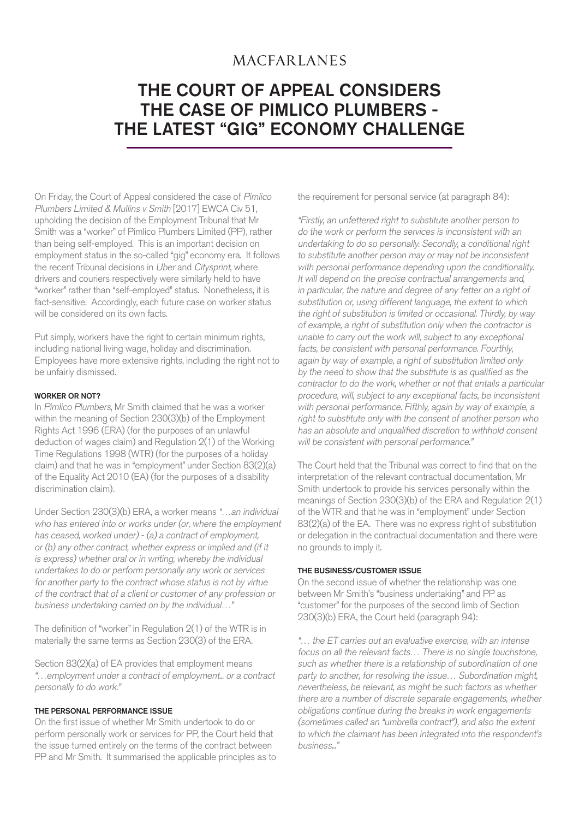# **MACFARLANES**

# THE COURT OF APPEAL CONSIDERS THE CASE OF PIMLICO PLUMBERS - THE LATEST "GIG" ECONOMY CHALLENGE

On Friday, the Court of Appeal considered the case of Pimlico Plumbers Limited & Mullins v Smith [2017] EWCA Civ 51, upholding the decision of the Employment Tribunal that Mr Smith was a "worker" of Pimlico Plumbers Limited (PP), rather than being self-employed. This is an important decision on employment status in the so-called "gig" economy era. It follows the recent Tribunal decisions in Uber and Citysprint, where drivers and couriers respectively were similarly held to have "worker" rather than "self-employed" status. Nonetheless, it is fact-sensitive. Accordingly, each future case on worker status will be considered on its own facts.

Put simply, workers have the right to certain minimum rights, including national living wage, holiday and discrimination. Employees have more extensive rights, including the right not to be unfairly dismissed.

#### WORKER OR NOT?

In Pimlico Plumbers, Mr Smith claimed that he was a worker within the meaning of Section 230(3)(b) of the Employment Rights Act 1996 (ERA) (for the purposes of an unlawful deduction of wages claim) and Regulation 2(1) of the Working Time Regulations 1998 (WTR) (for the purposes of a holiday claim) and that he was in "employment" under Section 83(2)(a) of the Equality Act 2010 (EA) (for the purposes of a disability discrimination claim).

Under Section 230(3)(b) ERA, a worker means "…an individual who has entered into or works under (or, where the employment has ceased, worked under) - (a) a contract of employment, or (b) any other contract, whether express or implied and (if it is express) whether oral or in writing, whereby the individual undertakes to do or perform personally any work or services for another party to the contract whose status is not by virtue of the contract that of a client or customer of any profession or business undertaking carried on by the individual…"

The definition of "worker" in Regulation  $2(1)$  of the WTR is in materially the same terms as Section 230(3) of the ERA.

Section 83(2)(a) of EA provides that employment means "…employment under a contract of employment... or a contract personally to do work."

### THE PERSONAL PERFORMANCE ISSUE

On the first issue of whether Mr Smith undertook to do or perform personally work or services for PP, the Court held that the issue turned entirely on the terms of the contract between PP and Mr Smith. It summarised the applicable principles as to the requirement for personal service (at paragraph 84):

"Firstly, an unfettered right to substitute another person to do the work or perform the services is inconsistent with an undertaking to do so personally. Secondly, a conditional right to substitute another person may or may not be inconsistent with personal performance depending upon the conditionality. It will depend on the precise contractual arrangements and, in particular, the nature and degree of any fetter on a right of substitution or, using different language, the extent to which the right of substitution is limited or occasional. Thirdly, by way of example, a right of substitution only when the contractor is unable to carry out the work will, subject to any exceptional facts, be consistent with personal performance. Fourthly, again by way of example, a right of substitution limited only by the need to show that the substitute is as qualified as the contractor to do the work, whether or not that entails a particular procedure, will, subject to any exceptional facts, be inconsistent with personal performance. Fifthly, again by way of example, a right to substitute only with the consent of another person who has an absolute and unqualified discretion to withhold consent will be consistent with personal performance."

The Court held that the Tribunal was correct to find that on the interpretation of the relevant contractual documentation, Mr Smith undertook to provide his services personally within the meanings of Section 230(3)(b) of the ERA and Regulation 2(1) of the WTR and that he was in "employment" under Section 83(2)(a) of the EA. There was no express right of substitution or delegation in the contractual documentation and there were no grounds to imply it.

#### THE BUSINESS/CUSTOMER ISSUE

On the second issue of whether the relationship was one between Mr Smith's "business undertaking" and PP as "customer" for the purposes of the second limb of Section 230(3)(b) ERA, the Court held (paragraph 94):

"… the ET carries out an evaluative exercise, with an intense focus on all the relevant facts… There is no single touchstone, such as whether there is a relationship of subordination of one party to another, for resolving the issue… Subordination might, nevertheless, be relevant, as might be such factors as whether there are a number of discrete separate engagements, whether obligations continue during the breaks in work engagements (sometimes called an "umbrella contract"), and also the extent to which the claimant has been integrated into the respondent's business..."